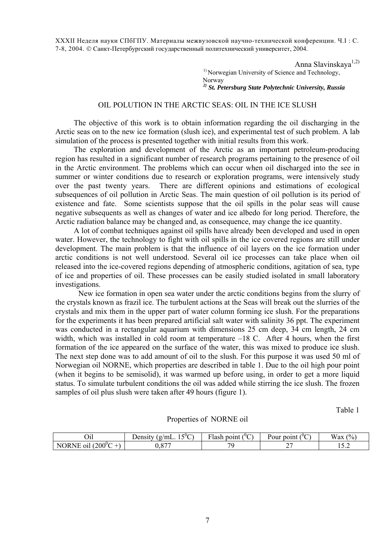XXXII Неделя науки СПбГПУ. Материалы межвузовской научно-технической конференции. Ч.I : С. 7-8, 2004. © Санкт-Петербургский государственный политехнический университет, 2004.

Anna Slavinskaya<sup>1,2)</sup>

<sup>1)</sup> Norwegian University of Science and Technology, Norway

## *2) St. Petersburg State Polytechnic University, Russia*

## OIL POLUTION IN THE ARCTIC SEAS: OIL IN THE ICE SLUSH

The objective of this work is to obtain information regarding the oil discharging in the Arctic seas on to the new ice formation (slush ice), and experimental test of such problem. A lab simulation of the process is presented together with initial results from this work.

The exploration and development of the Arctic as an important petroleum-producing region has resulted in a significant number of research programs pertaining to the presence of oil in the Arctic environment. The problems which can occur when oil discharged into the see in summer or winter conditions due to research or exploration programs, were intensively study over the past twenty years. There are different opinions and estimations of ecological subsequences of oil pollution in Arctic Seas. The main question of oil pollution is its period of existence and fate. Some scientists suppose that the oil spills in the polar seas will cause negative subsequents as well as changes of water and ice albedo for long period. Therefore, the Arctic radiation balance may be changed and, as consequence, may change the ice quantity.

A lot of combat techniques against oil spills have already been developed and used in open water. However, the technology to fight with oil spills in the ice covered regions are still under development. The main problem is that the influence of oil layers on the ice formation under arctic conditions is not well understood. Several oil ice processes can take place when oil released into the ice-covered regions depending of atmospheric conditions, agitation of sea, type of ice and properties of oil. These processes can be easily studied isolated in small laboratory investigations.

New ice formation in open sea water under the arctic conditions begins from the slurry of the crystals known as frazil ice. The turbulent actions at the Seas will break out the slurries of the crystals and mix them in the upper part of water column forming ice slush. For the preparations for the experiments it has been prepared artificial salt water with salinity 36 ppt. The experiment was conducted in a rectangular aquarium with dimensions 25 cm deep, 34 cm length, 24 cm width, which was installed in cold room at temperature –18 C. After 4 hours, when the first formation of the ice appeared on the surface of the water, this was mixed to produce ice slush. The next step done was to add amount of oil to the slush. For this purpose it was used 50 ml of Norwegian oil NORNE, which properties are described in table 1. Due to the oil high pour point (when it begins to be semisolid), it was warmed up before using, in order to get a more liquid status. To simulate turbulent conditions the oil was added while stirring the ice slush. The frozen samples of oil plus slush were taken after 49 hours (figure 1).

Table 1

Properties of NORNE oil

| ~ ··<br>U1l                                     | $\mathcal{L}^{0}$ $\curvearrowright$<br>Jensity<br>$~\gamma$ mL.<br>$\sigma$<br>- 11 | $\sim$<br>$\mathbf{m}$<br>point<br>Tash<br>՝ | $\sim$<br>point<br>Pour<br>ั | (0/<br><b>TT</b><br>w ax<br>70 |
|-------------------------------------------------|--------------------------------------------------------------------------------------|----------------------------------------------|------------------------------|--------------------------------|
| (200 $^0$ C<br>. .<br>'NE .<br>NI<br>ЭR.<br>01l | $\Omega$<br>. v.v.                                                                   | 7C                                           | ∼∼<br>-                      | . <u>.</u>                     |